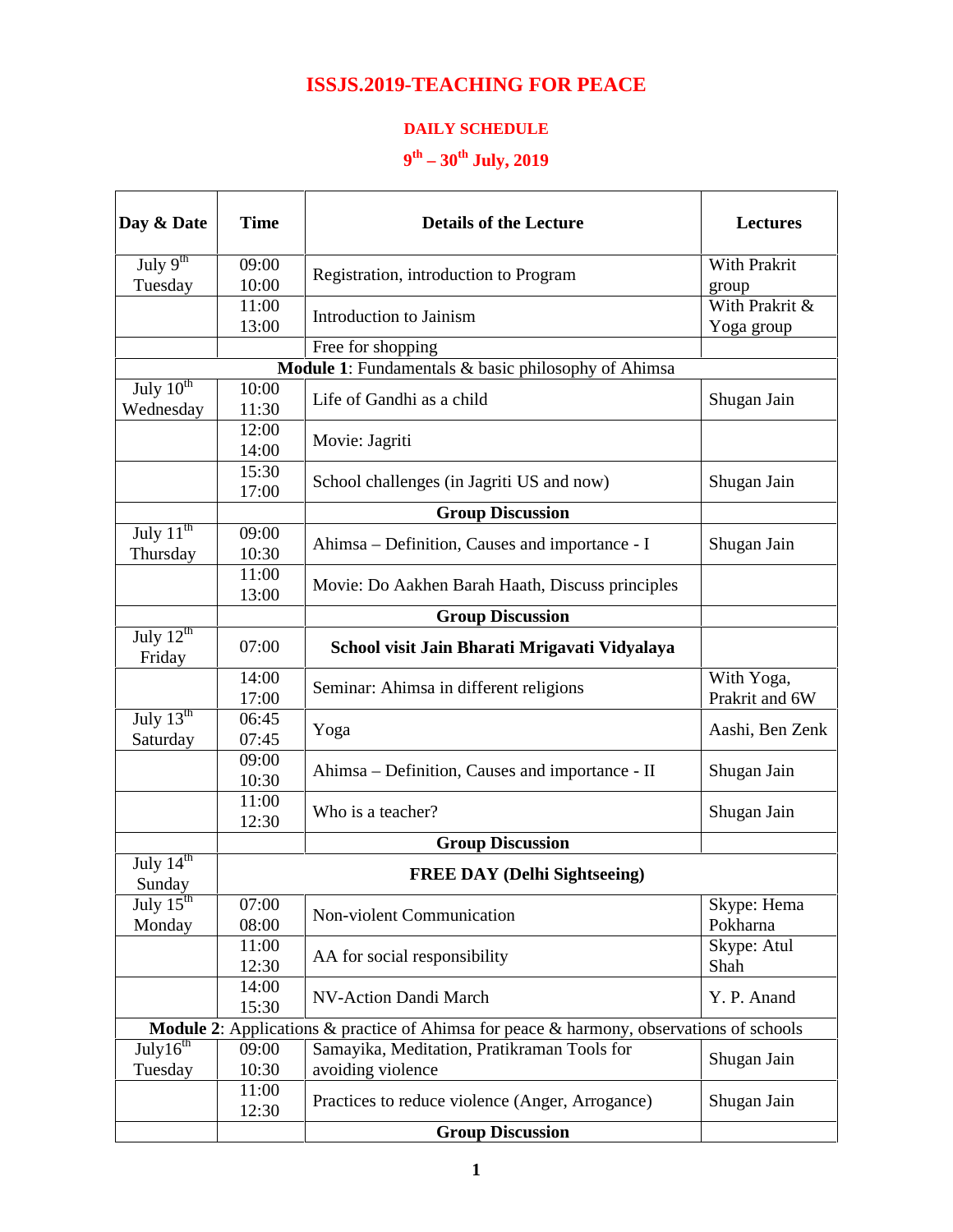## **ISSJS.2019-TEACHING FOR PEACE**

## **DAILY SCHEDULE**

## **9 th – 30th July, 2019**

| Day & Date                                            | <b>Time</b>    | <b>Details of the Lecture</b>                                                                   | <b>Lectures</b>              |
|-------------------------------------------------------|----------------|-------------------------------------------------------------------------------------------------|------------------------------|
| July $9^{th}$                                         | 09:00          | Registration, introduction to Program                                                           | With Prakrit                 |
| Tuesday                                               | 10:00          |                                                                                                 | group<br>With Prakrit &      |
|                                                       | 11:00<br>13:00 | Introduction to Jainism                                                                         | Yoga group                   |
|                                                       |                | Free for shopping                                                                               |                              |
|                                                       |                | Module 1: Fundamentals & basic philosophy of Ahimsa                                             |                              |
| July $10^{th}$                                        | 10:00          | Life of Gandhi as a child                                                                       |                              |
| Wednesday                                             | 11:30          |                                                                                                 | Shugan Jain                  |
|                                                       | 12:00          | Movie: Jagriti                                                                                  |                              |
|                                                       | 14:00          |                                                                                                 |                              |
|                                                       | 15:30          | School challenges (in Jagriti US and now)                                                       | Shugan Jain                  |
|                                                       | 17:00          |                                                                                                 |                              |
|                                                       |                | <b>Group Discussion</b>                                                                         |                              |
| July $11^{\text{th}}$<br>Thursday                     | 09:00<br>10:30 | Ahimsa – Definition, Causes and importance - I                                                  | Shugan Jain                  |
|                                                       | 11:00<br>13:00 | Movie: Do Aakhen Barah Haath, Discuss principles                                                |                              |
|                                                       |                | <b>Group Discussion</b>                                                                         |                              |
| $\overline{\mathrm{July 12}^{\mathrm{th}}}$<br>Friday | 07:00          | School visit Jain Bharati Mrigavati Vidyalaya                                                   |                              |
|                                                       | 14:00<br>17:00 | Seminar: Ahimsa in different religions                                                          | With Yoga,<br>Prakrit and 6W |
| July $13^{\text{th}}$                                 | 06:45          | Yoga                                                                                            | Aashi, Ben Zenk              |
| Saturday                                              | 07:45          |                                                                                                 |                              |
|                                                       | 09:00<br>10:30 | Ahimsa - Definition, Causes and importance - II                                                 | Shugan Jain                  |
|                                                       | 11:00          |                                                                                                 |                              |
|                                                       | 12:30          | Who is a teacher?                                                                               | Shugan Jain                  |
|                                                       |                | <b>Group Discussion</b>                                                                         |                              |
| July $14^{\text{th}}$<br>Sunday                       |                | <b>FREE DAY (Delhi Sightseeing)</b>                                                             |                              |
| July $15^{\text{th}}$                                 | 07:00          |                                                                                                 | Skype: Hema                  |
| Monday                                                | 08:00          | Non-violent Communication                                                                       | Pokharna                     |
|                                                       | 11:00          |                                                                                                 | Skype: Atul                  |
|                                                       | 12:30          | AA for social responsibility                                                                    | Shah                         |
|                                                       | 14:00<br>15:30 | NV-Action Dandi March                                                                           | Y. P. Anand                  |
|                                                       |                | <b>Module 2:</b> Applications & practice of Ahimsa for peace & harmony, observations of schools |                              |
| July $16^{th}$                                        | 09:00          | Samayika, Meditation, Pratikraman Tools for                                                     |                              |
| Tuesday                                               | 10:30          | avoiding violence                                                                               | Shugan Jain                  |
|                                                       | 11:00<br>12:30 | Practices to reduce violence (Anger, Arrogance)                                                 | Shugan Jain                  |
|                                                       |                | <b>Group Discussion</b>                                                                         |                              |
|                                                       |                |                                                                                                 |                              |